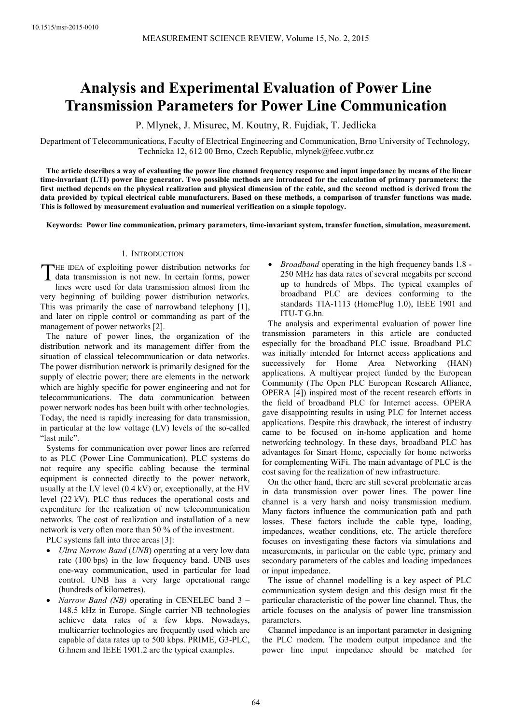# **Analysis and Experimental Evaluation of Power Line Transmission Parameters for Power Line Communication**

P. Mlynek, J. Misurec, M. Koutny, R. Fujdiak, T. Jedlicka

Department of Telecommunications, Faculty of Electrical Engineering and Communication, Brno University of Technology, Technicka 12, 612 00 Brno, Czech Republic, mlynek@feec.vutbr.cz

**The article describes a way of evaluating the power line channel frequency response and input impedance by means of the linear time-invariant (LTI) power line generator. Two possible methods are introduced for the calculation of primary parameters: the first method depends on the physical realization and physical dimension of the cable, and the second method is derived from the data provided by typical electrical cable manufacturers. Based on these methods, a comparison of transfer functions was made. This is followed by measurement evaluation and numerical verification on a simple topology.** 

**Keywords: Power line communication, primary parameters, time-invariant system, transfer function, simulation, measurement.** 

## 1. INTRODUCTION

HE IDEA of exploiting power distribution networks for THE IDEA of exploiting power distribution networks for<br>data transmission is not new. In certain forms, power<br>lines were used for data transmission almost from the lines were used for data transmission almost from the very beginning of building power distribution networks. This was primarily the case of narrowband telephony [1], and later on ripple control or commanding as part of the management of power networks [2].

The nature of power lines, the organization of the distribution network and its management differ from the situation of classical telecommunication or data networks. The power distribution network is primarily designed for the supply of electric power; there are elements in the network which are highly specific for power engineering and not for telecommunications. The data communication between power network nodes has been built with other technologies. Today, the need is rapidly increasing for data transmission, in particular at the low voltage (LV) levels of the so-called "last mile".

Systems for communication over power lines are referred to as PLC (Power Line Communication). PLC systems do not require any specific cabling because the terminal equipment is connected directly to the power network, usually at the LV level (0.4 kV) or, exceptionally, at the HV level (22 kV). PLC thus reduces the operational costs and expenditure for the realization of new telecommunication networks. The cost of realization and installation of a new network is very often more than 50 % of the investment.

PLC systems fall into three areas [3]:

- *Ultra Narrow Band* (*UNB*) operating at a very low data rate (100 bps) in the low frequency band. UNB uses one-way communication, used in particular for load control. UNB has a very large operational range (hundreds of kilometres).
- *Narrow Band (NB)* operating in CENELEC band 3 148.5 kHz in Europe. Single carrier NB technologies achieve data rates of a few kbps. Nowadays, multicarrier technologies are frequently used which are capable of data rates up to 500 kbps. PRIME, G3-PLC, G.hnem and IEEE 1901.2 are the typical examples.

• *Broadband* operating in the high frequency bands 1.8 - 250 MHz has data rates of several megabits per second up to hundreds of Mbps. The typical examples of broadband PLC are devices conforming to the standards TIA-1113 (HomePlug 1.0), IEEE 1901 and ITU-T G.hn.

The analysis and experimental evaluation of power line transmission parameters in this article are conducted especially for the broadband PLC issue. Broadband PLC was initially intended for Internet access applications and successively for Home Area Networking (HAN) applications. A multiyear project funded by the European Community (The Open PLC European Research Alliance, OPERA [4]) inspired most of the recent research efforts in the field of broadband PLC for Internet access. OPERA gave disappointing results in using PLC for Internet access applications. Despite this drawback, the interest of industry came to be focused on in-home application and home networking technology. In these days, broadband PLC has advantages for Smart Home, especially for home networks for complementing WiFi. The main advantage of PLC is the cost saving for the realization of new infrastructure.

On the other hand, there are still several problematic areas in data transmission over power lines. The power line channel is a very harsh and noisy transmission medium. Many factors influence the communication path and path losses. These factors include the cable type, loading, impedances, weather conditions, etc. The article therefore focuses on investigating these factors via simulations and measurements, in particular on the cable type, primary and secondary parameters of the cables and loading impedances or input impedance.

The issue of channel modelling is a key aspect of PLC communication system design and this design must fit the particular characteristic of the power line channel. Thus, the article focuses on the analysis of power line transmission parameters.

Channel impedance is an important parameter in designing the PLC modem. The modem output impedance and the power line input impedance should be matched for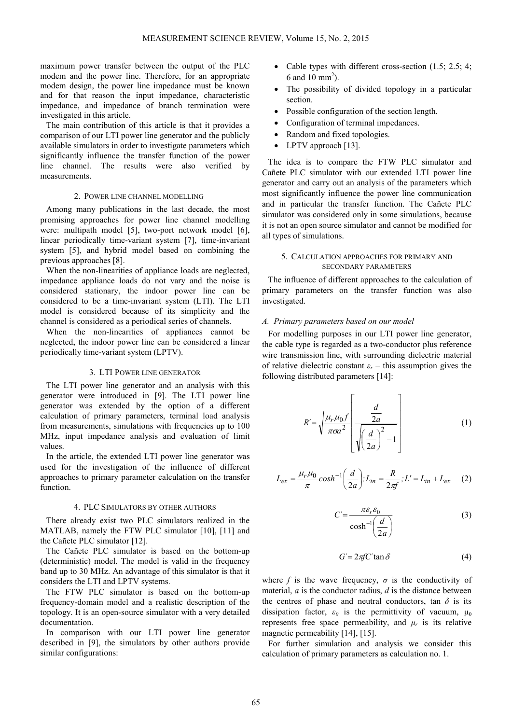maximum power transfer between the output of the PLC modem and the power line. Therefore, for an appropriate modem design, the power line impedance must be known and for that reason the input impedance, characteristic impedance, and impedance of branch termination were investigated in this article.

The main contribution of this article is that it provides a comparison of our LTI power line generator and the publicly available simulators in order to investigate parameters which significantly influence the transfer function of the power line channel. The results were also verified by measurements.

# 2. POWER LINE CHANNEL MODELLING

Among many publications in the last decade, the most promising approaches for power line channel modelling were: multipath model [5], two-port network model [6], linear periodically time-variant system [7], time-invariant system [5], and hybrid model based on combining the previous approaches [8].

When the non-linearities of appliance loads are neglected, impedance appliance loads do not vary and the noise is considered stationary, the indoor power line can be considered to be a time-invariant system (LTI). The LTI model is considered because of its simplicity and the channel is considered as a periodical series of channels.

When the non-linearities of appliances cannot be neglected, the indoor power line can be considered a linear periodically time-variant system (LPTV).

## 3. LTI POWER LINE GENERATOR

The LTI power line generator and an analysis with this generator were introduced in [9]. The LTI power line generator was extended by the option of a different calculation of primary parameters, terminal load analysis from measurements, simulations with frequencies up to 100 MHz, input impedance analysis and evaluation of limit values.

In the article, the extended LTI power line generator was used for the investigation of the influence of different approaches to primary parameter calculation on the transfer function.

## 4. PLC SIMULATORS BY OTHER AUTHORS

There already exist two PLC simulators realized in the MATLAB, namely the FTW PLC simulator [10], [11] and the Cañete PLC simulator [12].

The Cañete PLC simulator is based on the bottom-up (deterministic) model. The model is valid in the frequency band up to 30 MHz. An advantage of this simulator is that it considers the LTI and LPTV systems.

The FTW PLC simulator is based on the bottom-up frequency-domain model and a realistic description of the topology. It is an open-source simulator with a very detailed documentation.

In comparison with our LTI power line generator described in [9], the simulators by other authors provide similar configurations:

- Cable types with different cross-section  $(1.5; 2.5; 4;$ 6 and 10 mm<sup>2</sup>).
- The possibility of divided topology in a particular section.
- Possible configuration of the section length.
- Configuration of terminal impedances.
- Random and fixed topologies.
- LPTV approach [13].

The idea is to compare the FTW PLC simulator and Cañete PLC simulator with our extended LTI power line generator and carry out an analysis of the parameters which most significantly influence the power line communication and in particular the transfer function. The Cañete PLC simulator was considered only in some simulations, because it is not an open source simulator and cannot be modified for all types of simulations.

# 5. CALCULATION APPROACHES FOR PRIMARY AND SECONDARY PARAMETERS

The influence of different approaches to the calculation of primary parameters on the transfer function was also investigated.

#### *A. Primary parameters based on our model*

For modelling purposes in our LTI power line generator, the cable type is regarded as a two-conductor plus reference wire transmission line, with surrounding dielectric material of relative dielectric constant  $\varepsilon_r$  – this assumption gives the following distributed parameters [14]:

$$
R' = \sqrt{\frac{\mu_r \mu_0 f}{\pi \sigma a^2}} \left[ \frac{\frac{d}{2a}}{\sqrt{\left(\frac{d}{2a}\right)^2 - 1}} \right]
$$
(1)

$$
L_{ex} = \frac{\mu_r \mu_0}{\pi} \cosh^{-1} \left( \frac{d}{2a} \right); L_{in} = \frac{R}{2\pi f}; L' = L_{in} + L_{ex} \tag{2}
$$

$$
C' = \frac{\pi \varepsilon_r \varepsilon_0}{\cosh^{-1} \left( \frac{d}{2a} \right)}
$$
(3)

$$
G' = 2\pi f C' \tan \delta \tag{4}
$$

where  $f$  is the wave frequency,  $\sigma$  is the conductivity of material, *a* is the conductor radius, *d* is the distance between the centres of phase and neutral conductors, tan  $\delta$  is its dissipation factor,  $\varepsilon_0$  is the permittivity of vacuum,  $\mu_0$ represents free space permeability, and  $\mu_r$  is its relative magnetic permeability [14], [15].

For further simulation and analysis we consider this calculation of primary parameters as calculation no. 1.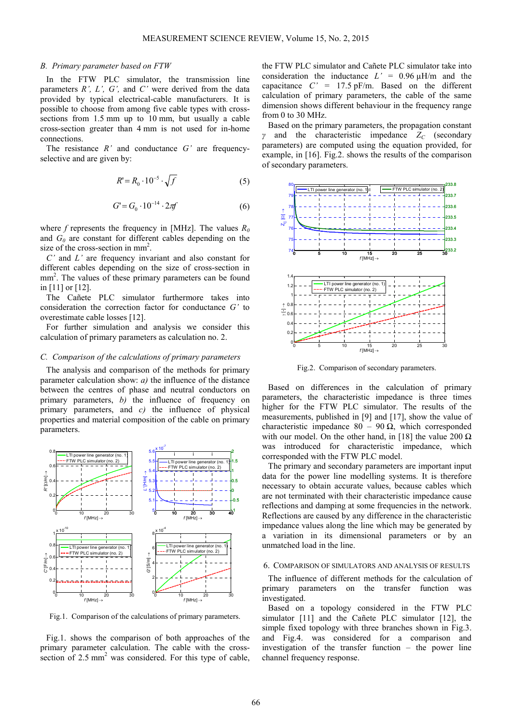#### *B. Primary parameter based on FTW*

In the FTW PLC simulator, the transmission line parameters *R', L', G',* and *C'* were derived from the data provided by typical electrical-cable manufacturers. It is possible to choose from among five cable types with crosssections from 1.5 mm up to 10 mm, but usually a cable cross-section greater than 4 mm is not used for in-home connections.

The resistance *R'* and conductance *G'* are frequencyselective and are given by:

$$
R' = R_0 \cdot 10^{-5} \cdot \sqrt{f} \tag{5}
$$

$$
G = G_0 \cdot 10^{-14} \cdot 2\pi f \tag{6}
$$

where *f* represents the frequency in [MHz]. The values *R<sup>0</sup>* and *G<sup>0</sup>* are constant for different cables depending on the size of the cross-section in mm<sup>2</sup>.

*C'* and *L'* are frequency invariant and also constant for different cables depending on the size of cross-section in mm<sup>2</sup>. The values of these primary parameters can be found in [11] or [12].

The Cañete PLC simulator furthermore takes into consideration the correction factor for conductance *G'* to overestimate cable losses [12].

For further simulation and analysis we consider this calculation of primary parameters as calculation no. 2.

## *C. Comparison of the calculations of primary parameters*

The analysis and comparison of the methods for primary parameter calculation show: *a)* the influence of the distance between the centres of phase and neutral conductors on primary parameters, *b)* the influence of frequency on primary parameters, and *c)* the influence of physical properties and material composition of the cable on primary parameters.



Fig.1. Comparison of the calculations of primary parameters.

Fig.1. shows the comparison of both approaches of the primary parameter calculation. The cable with the crosssection of  $2.5 \text{ mm}^2$  was considered. For this type of cable, the FTW PLC simulator and Cañete PLC simulator take into consideration the inductance  $L' = 0.96 \mu H/m$  and the capacitance  $C' = 17.5$  pF/m. Based on the different calculation of primary parameters, the cable of the same dimension shows different behaviour in the frequency range from 0 to 30 MHz.

Based on the primary parameters, the propagation constant *γ* and the characteristic impedance *ZC* (secondary parameters) are computed using the equation provided, for example, in [16]. Fig.2. shows the results of the comparison of secondary parameters.



Fig.2. Comparison of secondary parameters.

Based on differences in the calculation of primary parameters, the characteristic impedance is three times higher for the FTW PLC simulator. The results of the measurements, published in [9] and [17], show the value of characteristic impedance 80 – 90  $\Omega$ , which corresponded with our model. On the other hand, in [18] the value 200  $\Omega$ was introduced for characteristic impedance, which corresponded with the FTW PLC model.

The primary and secondary parameters are important input data for the power line modelling systems. It is therefore necessary to obtain accurate values, because cables which are not terminated with their characteristic impedance cause reflections and damping at some frequencies in the network. Reflections are caused by any difference in the characteristic impedance values along the line which may be generated by a variation in its dimensional parameters or by an unmatched load in the line.

#### 6. COMPARISON OF SIMULATORS AND ANALYSIS OF RESULTS

The influence of different methods for the calculation of primary parameters on the transfer function was investigated.

Based on a topology considered in the FTW PLC simulator [11] and the Cañete PLC simulator [12], the simple fixed topology with three branches shown in Fig.3. and Fig.4. was considered for a comparison and investigation of the transfer function – the power line channel frequency response.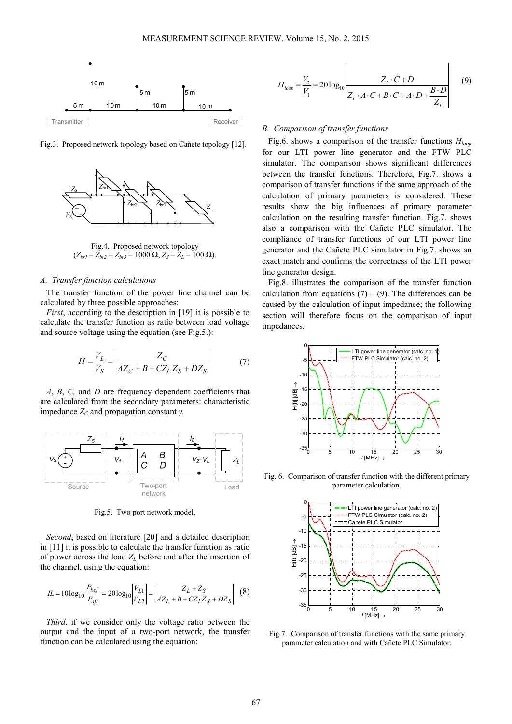

Fig.3. Proposed network topology based on Cañete topology [12].



Fig.4. Proposed network topology  $(Z_{br1} = Z_{br2} = Z_{br3} = 1000 \Omega, Z_S = Z_L = 100 \Omega).$ 

## *A. Transfer function calculations*

The transfer function of the power line channel can be calculated by three possible approaches:

*First*, according to the description in [19] it is possible to calculate the transfer function as ratio between load voltage and source voltage using the equation (see Fig.5.):

$$
H = \frac{V_L}{V_S} = \left| \frac{Z_C}{AZ_C + B + CZ_C Z_S + D Z_S} \right| \tag{7}
$$

*A*, *B*, *C,* and *D* are frequency dependent coefficients that are calculated from the secondary parameters: characteristic impedance *ZC* and propagation constant *γ.* 



Fig.5. Two port network model.

*Second*, based on literature [20] and a detailed description in [11] it is possible to calculate the transfer function as ratio of power across the load  $Z_L$  before and after the insertion of the channel, using the equation:

$$
IL = 10\log_{10}\frac{P_{bef}}{P_{afi}} = 20\log_{10}\left|\frac{V_{L1}}{V_{L2}}\right| = \left|\frac{Z_L + Z_S}{AZ_L + B + CZ_LZ_S + DZ_S}\right| \tag{8}
$$

*Third*, if we consider only the voltage ratio between the output and the input of a two-port network, the transfer function can be calculated using the equation:

$$
H_{loop} = \frac{V_2}{V_1} = 20 \log_{10} \left| \frac{Z_L \cdot C + D}{Z_L \cdot A \cdot C + B \cdot C + A \cdot D + \frac{B \cdot D}{Z_L}} \right| \tag{9}
$$

## *B. Comparison of transfer functions*

Fig.6. shows a comparison of the transfer functions *Hloop* for our LTI power line generator and the FTW PLC simulator. The comparison shows significant differences between the transfer functions. Therefore, Fig.7. shows a comparison of transfer functions if the same approach of the calculation of primary parameters is considered. These results show the big influences of primary parameter calculation on the resulting transfer function. Fig.7. shows also a comparison with the Cañete PLC simulator. The compliance of transfer functions of our LTI power line generator and the Cañete PLC simulator in Fig.7. shows an exact match and confirms the correctness of the LTI power line generator design.

Fig.8. illustrates the comparison of the transfer function calculation from equations  $(7) - (9)$ . The differences can be caused by the calculation of input impedance; the following section will therefore focus on the comparison of input impedances.



Fig. 6. Comparison of transfer function with the different primary parameter calculation.



Fig.7. Comparison of transfer functions with the same primary parameter calculation and with Cañete PLC Simulator.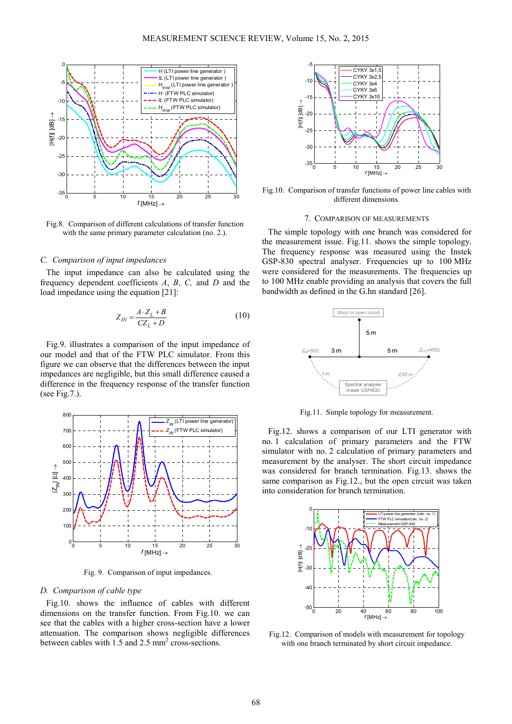

Fig.8. Comparison of different calculations of transfer function with the same primary parameter calculation (no. 2.).

## *C. Comparison of input impedances*

The input impedance can also be calculated using the frequency dependent coefficients *A*, *B*, *C,* and *D* and the load impedance using the equation [21]:

$$
Z_{IN} = \frac{A \cdot Z_L + B}{C Z_L + D} \tag{10}
$$

Fig.9. illustrates a comparison of the input impedance of our model and that of the FTW PLC simulator. From this figure we can observe that the differences between the input impedances are negligible, but this small difference caused a difference in the frequency response of the transfer function (see Fig.7.).



Fig. 9. Comparison of input impedances.

## *D. Comparison of cable type*

Fig.10. shows the influence of cables with different dimensions on the transfer function. From Fig.10. we can see that the cables with a higher cross-section have a lower attenuation. The comparison shows negligible differences between cables with  $1.5$  and  $2.5$  mm<sup>2</sup> cross-sections.



Fig.10. Comparison of transfer functions of power line cables with different dimensions.

#### 7. COMPARISON OF MEASUREMENTS

The simple topology with one branch was considered for the measurement issue. Fig.11. shows the simple topology. The frequency response was measured using the Instek GSP-830 spectral analyser. Frequencies up to 100 MHz were considered for the measurements. The frequencies up to 100 MHz enable providing an analysis that covers the full bandwidth as defined in the G.hn standard [26].



Fig.11. Simple topology for measurement.

Fig.12. shows a comparison of our LTI generator with no. 1 calculation of primary parameters and the FTW simulator with no. 2 calculation of primary parameters and measurement by the analyser. The short circuit impedance was considered for branch termination. Fig.13. shows the same comparison as Fig.12., but the open circuit was taken into consideration for branch termination.



Fig.12. Comparison of models with measurement for topology with one branch terminated by short circuit impedance.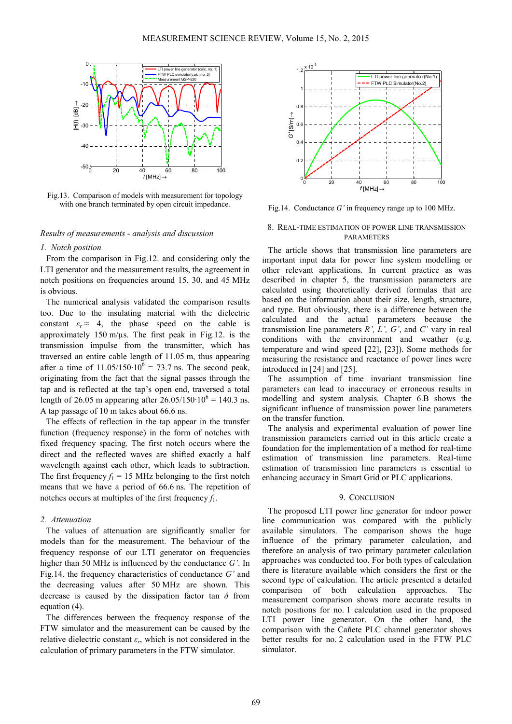

Fig.13. Comparison of models with measurement for topology with one branch terminated by open circuit impedance.

# *Results of measurements - analysis and discussion*

## *1. Notch position*

From the comparison in Fig.12. and considering only the LTI generator and the measurement results, the agreement in notch positions on frequencies around 15, 30, and 45 MHz is obvious.

The numerical analysis validated the comparison results too. Due to the insulating material with the dielectric constant  $\varepsilon_r \approx 4$ , the phase speed on the cable is approximately 150 m/ $\mu$ s. The first peak in Fig.12. is the transmission impulse from the transmitter, which has traversed an entire cable length of 11.05 m, thus appearing after a time of  $11.05/150 \cdot 10^6 = 73.7$  ns. The second peak, originating from the fact that the signal passes through the tap and is reflected at the tap's open end, traversed a total length of 26.05 m appearing after 26.05/150⋅10<sup>6</sup> = 140.3 ns. A tap passage of 10 m takes about 66.6 ns.

The effects of reflection in the tap appear in the transfer function (frequency response) in the form of notches with fixed frequency spacing. The first notch occurs where the direct and the reflected waves are shifted exactly a half wavelength against each other, which leads to subtraction. The first frequency  $f_1 = 15$  MHz belonging to the first notch means that we have a period of 66.6 ns. The repetition of notches occurs at multiples of the first frequency  $f_1$ .

#### *2. Attenuation*

The values of attenuation are significantly smaller for models than for the measurement. The behaviour of the frequency response of our LTI generator on frequencies higher than 50 MHz is influenced by the conductance *G'*. In Fig.14. the frequency characteristics of conductance *G'* and the decreasing values after 50 MHz are shown. This decrease is caused by the dissipation factor tan *δ* from equation (4).

The differences between the frequency response of the FTW simulator and the measurement can be caused by the relative dielectric constant  $\varepsilon_r$ , which is not considered in the calculation of primary parameters in the FTW simulator.



Fig.14. Conductance *G'* in frequency range up to 100 MHz.

## 8. REAL-TIME ESTIMATION OF POWER LINE TRANSMISSION PARAMETERS

The article shows that transmission line parameters are important input data for power line system modelling or other relevant applications. In current practice as was described in chapter 5, the transmission parameters are calculated using theoretically derived formulas that are based on the information about their size, length, structure, and type. But obviously, there is a difference between the calculated and the actual parameters because the transmission line parameters *R', L', G'*, and *C'* vary in real conditions with the environment and weather (e.g. temperature and wind speed [22], [23]). Some methods for measuring the resistance and reactance of power lines were introduced in [24] and [25].

The assumption of time invariant transmission line parameters can lead to inaccuracy or erroneous results in modelling and system analysis. Chapter 6.B shows the significant influence of transmission power line parameters on the transfer function.

The analysis and experimental evaluation of power line transmission parameters carried out in this article create a foundation for the implementation of a method for real-time estimation of transmission line parameters. Real-time estimation of transmission line parameters is essential to enhancing accuracy in Smart Grid or PLC applications.

## 9. CONCLUSION

The proposed LTI power line generator for indoor power line communication was compared with the publicly available simulators. The comparison shows the huge influence of the primary parameter calculation, and therefore an analysis of two primary parameter calculation approaches was conducted too. For both types of calculation there is literature available which considers the first or the second type of calculation. The article presented a detailed comparison of both calculation approaches. The measurement comparison shows more accurate results in notch positions for no. 1 calculation used in the proposed LTI power line generator. On the other hand, the comparison with the Cañete PLC channel generator shows better results for no. 2 calculation used in the FTW PLC simulator.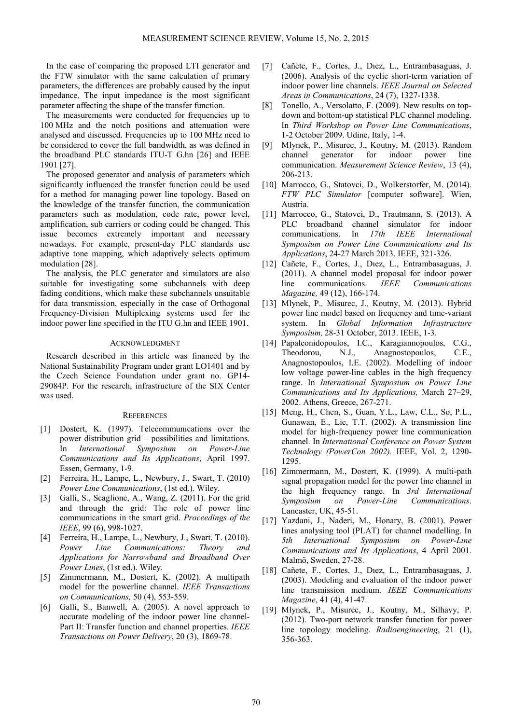In the case of comparing the proposed LTI generator and the FTW simulator with the same calculation of primary parameters, the differences are probably caused by the input impedance. The input impedance is the most significant parameter affecting the shape of the transfer function.

The measurements were conducted for frequencies up to 100 MHz and the notch positions and attenuation were analysed and discussed. Frequencies up to 100 MHz need to be considered to cover the full bandwidth, as was defined in the broadband PLC standards ITU-T G.hn [26] and IEEE 1901 [27].

The proposed generator and analysis of parameters which significantly influenced the transfer function could be used for a method for managing power line topology. Based on the knowledge of the transfer function, the communication parameters such as modulation, code rate, power level, amplification, sub carriers or coding could be changed. This issue becomes extremely important and necessary nowadays. For example, present-day PLC standards use adaptive tone mapping, which adaptively selects optimum modulation [28].

The analysis, the PLC generator and simulators are also suitable for investigating some subchannels with deep fading conditions, which make these subchannels unsuitable for data transmission, especially in the case of Orthogonal Frequency-Division Multiplexing systems used for the indoor power line specified in the ITU G.hn and IEEE 1901.

# ACKNOWLEDGMENT

Research described in this article was financed by the National Sustainability Program under grant LO1401 and by the Czech Science Foundation under grant no. GP14- 29084P. For the research, infrastructure of the SIX Center was used.

#### **REFERENCES**

- [1] Dostert, K. (1997). Telecommunications over the power distribution grid – possibilities and limitations. In *International Symposium on Power-Line Communications and Its Applications*, April 1997. Essen, Germany, 1-9.
- [2] Ferreira, H., Lampe, L., Newbury, J., Swart, T. (2010) *Power Line Communications*, (1st ed.). Wiley.
- [3] Galli, S., Scaglione, A., Wang, Z. (2011). For the grid and through the grid: The role of power line communications in the smart grid. *Proceedings of the IEEE*, 99 (6), 998-1027.
- [4] Ferreira, H., Lampe, L., Newbury, J., Swart, T. (2010). *Power Line Communications: Theory and Applications for Narrowband and Broadband Over Power Lines*, (1st ed.). Wiley.
- [5] Zimmermann, M., Dostert, K. (2002). A multipath model for the powerline channel. *IEEE Transactions on Communications,* 50 (4), 553-559.
- [6] Galli, S., Banwell, A. (2005). A novel approach to accurate modeling of the indoor power line channel-Part II: Transfer function and channel properties. *IEEE Transactions on Power Delivery*, 20 (3), 1869-78.
- [7] Cañete, F., Cortes, J., Dıez, L., Entrambasaguas, J. (2006). Analysis of the cyclic short-term variation of indoor power line channels. *IEEE Journal on Selected Areas in Communications*, 24 (7), 1327-1338.
- [8] Tonello, A., Versolatto, F. (2009). New results on topdown and bottom-up statistical PLC channel modeling. In *Third Workshop on Power Line Communications*, 1-2 October 2009. Udine, Italy, 1-4.
- [9] Mlynek, P., Misurec, J., Koutny, M. (2013). Random channel generator for indoor power line communication. *Measurement Science Review*, 13 (4), 206-213.
- [10] Marrocco, G., Statovci, D., Wolkerstorfer, M. (2014). *FTW PLC Simulator* [computer software]. Wien, Austria.
- [11] Marrocco, G., Statovci, D., Trautmann, S. (2013). A PLC broadband channel simulator for indoor communications. In *17th IEEE International Symposium on Power Line Communications and Its Applications*, 24-27 March 2013. IEEE, 321-326.
- [12] Cañete, F., Cortes, J., Dıez, L., Entrambasaguas, J. (2011). A channel model proposal for indoor power line communications. *IEEE Communications Magazine,* 49 (12), 166-174.
- [13] Mlynek, P., Misurec, J., Koutny, M. (2013). Hybrid power line model based on frequency and time-variant system. In *Global Information Infrastructure Symposium,* 28-31 October, 2013. IEEE, 1-3.
- [14] Papaleonidopoulos, I.C., Karagiannopoulos, C.G., Theodorou, N.J., Anagnostopoulos, C.E., Anagnostopoulos, I.E. (2002). Modelling of indoor low voltage power-line cables in the high frequency range. In *International Symposium on Power Line Communications and Its Applications,* March 27–29, 2002. Athens, Greece, 267-271.
- [15] Meng, H., Chen, S., Guan, Y.L., Law, C.L., So, P.L., Gunawan, E., Lie, T.T. (2002). A transmission line model for high-frequency power line communication channel. In *International Conference on Power System Technology (PowerCon 2002).* IEEE, Vol. 2, 1290- 1295.
- [16] Zimmermann, M., Dostert, K. (1999). A multi-path signal propagation model for the power line channel in the high frequency range. In *3rd International Symposium on Power-Line Communications*. Lancaster, UK, 45-51.
- [17] Yazdani, J., Naderi, M., Honary, B. (2001). Power lines analysing tool (PLAT) for channel modelling. In *5th International Symposium on Power-Line Communications and Its Applications*, 4 April 2001. Malmö, Sweden, 27-28.
- [18] Cañete, F., Cortes, J., Dıez, L., Entrambasaguas, J. (2003). Modeling and evaluation of the indoor power line transmission medium. *IEEE Communications Magazine*, 41 (4), 41-47.
- [19] Mlynek, P., Misurec, J., Koutny, M., Silhavy, P. (2012). Two-port network transfer function for power line topology modeling. *Radioengineering*, 21 (1), 356-363.